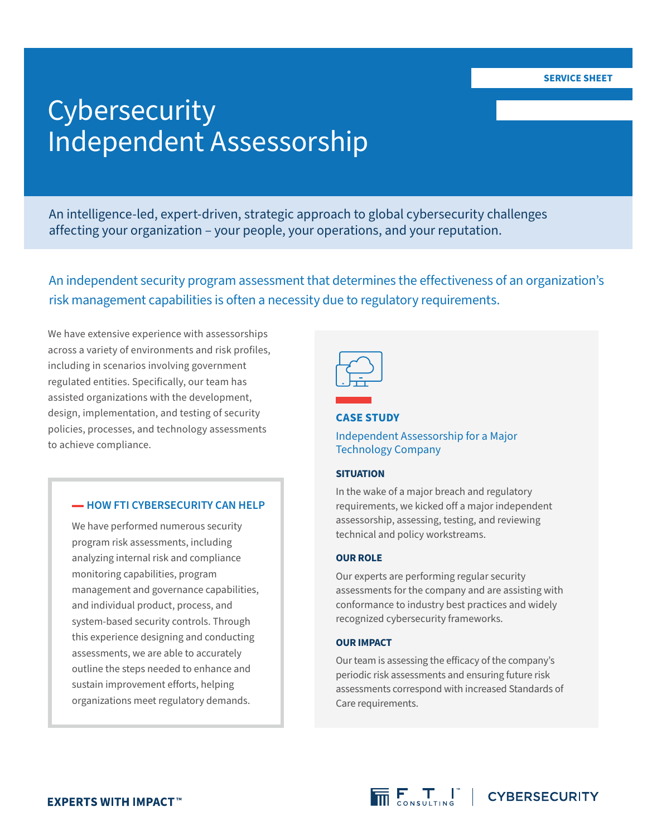# **Cybersecurity** Independent Assessorship

An intelligence-led, expert-driven, strategic approach to global cybersecurity challenges affecting your organization – your people, your operations, and your reputation.

An independent security program assessment that determines the effectiveness of an organization's risk management capabilities is often a necessity due to regulatory requirements.

We have extensive experience with assessorships across a variety of environments and risk profiles, including in scenarios involving government regulated entities. Specifically, our team has assisted organizations with the development, design, implementation, and testing of security policies, processes, and technology assessments to achieve compliance.

## **-HOW FTI CYBERSECURITY CAN HELP**

We have performed numerous security program risk assessments, including analyzing internal risk and compliance monitoring capabilities, program management and governance capabilities, and individual product, process, and system-based security controls. Through this experience designing and conducting assessments, we are able to accurately outline the steps needed to enhance and sustain improvement efforts, helping organizations meet regulatory demands.

## **CASE STUDY**

## Independent Assessorship for a Major Technology Company

#### **SITUATION**

In the wake of a major breach and regulatory requirements, we kicked off a major independent assessorship, assessing, testing, and reviewing technical and policy workstreams.

#### **OUR ROLE**

Our experts are performing regular security assessments for the company and are assisting with conformance to industry best practices and widely recognized cybersecurity frameworks.

#### **OUR IMPACT**

Our team is assessing the efficacy of the company's periodic risk assessments and ensuring future risk assessments correspond with increased Standards of Care requirements.

 $\overline{\overline{\mathsf{m}}}\mathsf{F}_{\mathsf{conv}:\mathsf{unim}\mathsf{F}}^{\mathsf{T}}$  | CYBERSECURITY